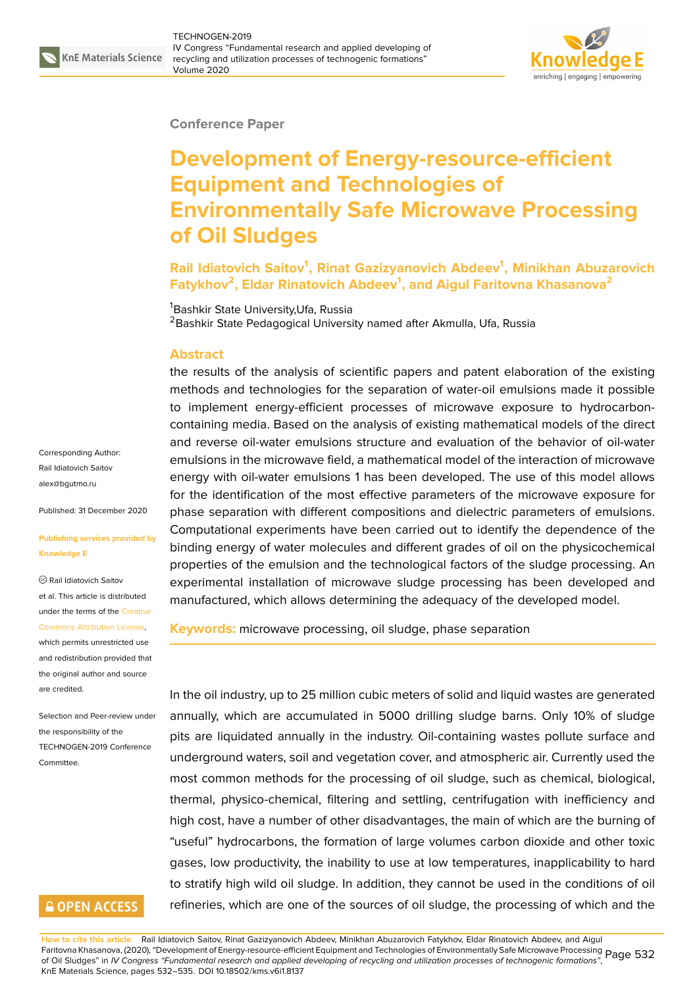

#### **Conference Paper**

# **Development of Energy-resource-efficient Equipment and Technologies of Environmentally Safe Microwave Processing of Oil Sludges**

**Rail Idiatovich Saitov<sup>1</sup> , Rinat Gazizyanovich Abdeev<sup>1</sup> , Minikhan Abuzarovich Fatykhov<sup>2</sup> , Eldar Rinatovich Abdeev<sup>1</sup> , and Aigul Faritovna Khasanova<sup>2</sup>**

<sup>1</sup>Bashkir State University, Ufa, Russia <sup>2</sup> Bashkir State Pedagogical University named after Akmulla, Ufa, Russia

#### **Abstract**

the results of the analysis of scientific papers and patent elaboration of the existing methods and technologies for the separation of water-oil emulsions made it possible to implement energy-efficient processes of microwave exposure to hydrocarboncontaining media. Based on the analysis of existing mathematical models of the direct and reverse oil-water emulsions structure and evaluation of the behavior of oil-water emulsions in the microwave field, a mathematical model of the interaction of microwave energy with oil-water emulsions 1 has been developed. The use of this model allows for the identification of the most effective parameters of the microwave exposure for phase separation with different compositions and dielectric parameters of emulsions. Computational experiments have been carried out to identify the dependence of the binding energy of water molecules and different grades of oil on the physicochemical properties of the emulsion and the technological factors of the sludge processing. An experimental installation of microwave sludge processing has been developed and manufactured, which allows determining the adequacy of the developed model.

**Keywords:** microwave processing, oil sludge, phase separation

In the oil industry, up to 25 million cubic meters of solid and liquid wastes are generated annually, which are accumulated in 5000 drilling sludge barns. Only 10% of sludge pits are liquidated annually in the industry. Oil-containing wastes pollute surface and underground waters, soil and vegetation cover, and atmospheric air. Currently used the most common methods for the processing of oil sludge, such as chemical, biological, thermal, physico-chemical, filtering and settling, centrifugation with inefficiency and high cost, have a number of other disadvantages, the main of which are the burning of "useful" hydrocarbons, the formation of large volumes carbon dioxide and other toxic gases, low productivity, the inability to use at low temperatures, inapplicability to hard to stratify high wild oil sludge. In addition, they cannot be used in the conditions of oil refineries, which are one of the sources of oil sludge, the processing of which and the

**How to cite this article**: Rail Idiatovich Saitov, Rinat Gazizyanovich Abdeev, Minikhan Abuzarovich Fatykhov, Eldar Rinatovich Abdeev, and Aigul Faritovna Khasanova, (2020), "Development of Energy-resource-efficient Equipment and Technologies of Environmentally Safe Microwave Processing Page 532<br>Of Oil Sludges" in IV Consress "Eundemental research and applied devel of Oil Sludges" in *IV Congress "Fundamental research and applied developing of recycling and utilization processes of technogenic formations"*, KnE Materials Science, pages 532–535. DOI 10.18502/kms.v6i1.8137

Corresponding Author: Rail Idiatovich Saitov alex@bgutmo.ru

Published: 31 December 2020

#### **[Publishing servi](mailto:alex@bgutmo.ru)ces provided by Knowledge E**

Rail Idiatovich Saitov et al. This article is distributed under the terms of the Creative Commons Attribution License,

which permits unrestricted use and redistribution provided that the original author and [source](https://creativecommons.org/licenses/by/4.0/) [are credited.](https://creativecommons.org/licenses/by/4.0/)

Selection and Peer-review under the responsibility of the TECHNOGEN-2019 Conference Committee.

### **GOPEN ACCESS**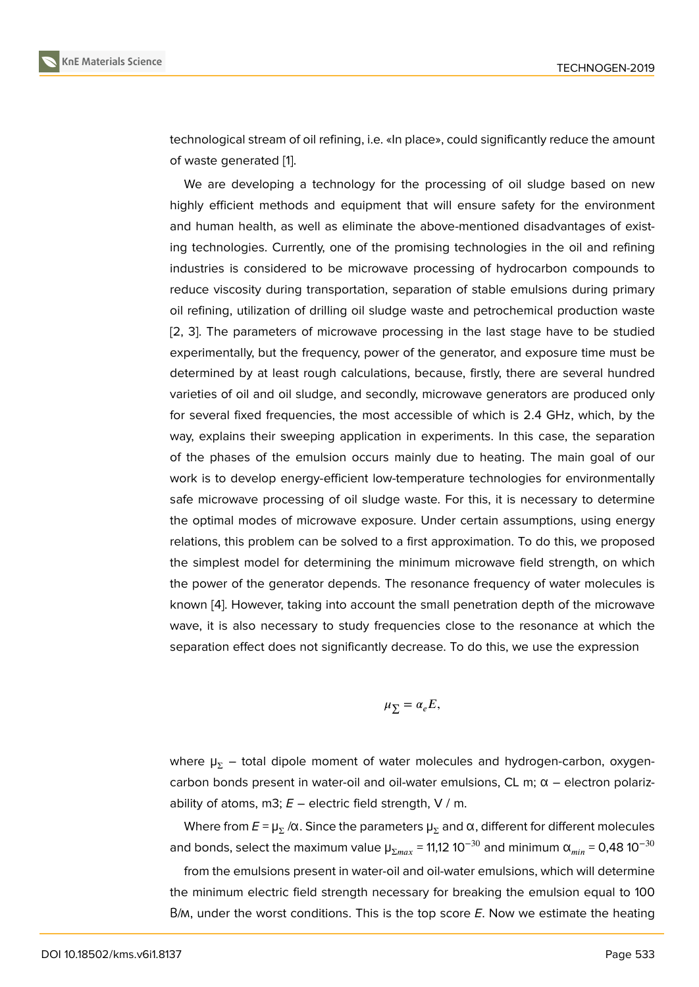technological stream of oil refining, i.e. «In place», could significantly reduce the amount of waste generated [1].

We are developing a technology for the processing of oil sludge based on new highly efficient methods and equipment that will ensure safety for the environment and human health, [as](#page-3-0) well as eliminate the above-mentioned disadvantages of existing technologies. Currently, one of the promising technologies in the oil and refining industries is considered to be microwave processing of hydrocarbon compounds to reduce viscosity during transportation, separation of stable emulsions during primary oil refining, utilization of drilling oil sludge waste and petrochemical production waste [2, 3]. The parameters of microwave processing in the last stage have to be studied experimentally, but the frequency, power of the generator, and exposure time must be determined by at least rough calculations, because, firstly, there are several hundred [va](#page-3-1)r[ie](#page-3-2)ties of oil and oil sludge, and secondly, microwave generators are produced only for several fixed frequencies, the most accessible of which is 2.4 GHz, which, by the way, explains their sweeping application in experiments. In this case, the separation of the phases of the emulsion occurs mainly due to heating. The main goal of our work is to develop energy-efficient low-temperature technologies for environmentally safe microwave processing of oil sludge waste. For this, it is necessary to determine the optimal modes of microwave exposure. Under certain assumptions, using energy relations, this problem can be solved to a first approximation. To do this, we proposed the simplest model for determining the minimum microwave field strength, on which the power of the generator depends. The resonance frequency of water molecules is known [4]. However, taking into account the small penetration depth of the microwave wave, it is also necessary to study frequencies close to the resonance at which the separation effect does not significantly decrease. To do this, we use the expression

$$
\mu_{\Sigma} = \alpha_e E,
$$

where  $\mu_{\Sigma}$  – total dipole moment of water molecules and hydrogen-carbon, oxygencarbon bonds present in water-oil and oil-water emulsions, CL m;  $α$  – electron polarizability of atoms, m3;  $E$  – electric field strength, V / m.

Where from  $E$  =  $\mu_{\Sigma}$  /α. Since the parameters  $\mu_{\Sigma}$  and α, different for different molecules and bonds, select the maximum value  $\mu_{\Sigma max}$  = 11,12 10<sup>-30</sup> and minimum  $\alpha_{min}$  = 0,48 10<sup>-30</sup>

from the emulsions present in water-oil and oil-water emulsions, which will determine the minimum electric field strength necessary for breaking the emulsion equal to 100 В/м, under the worst conditions. This is the top score *E*. Now we estimate the heating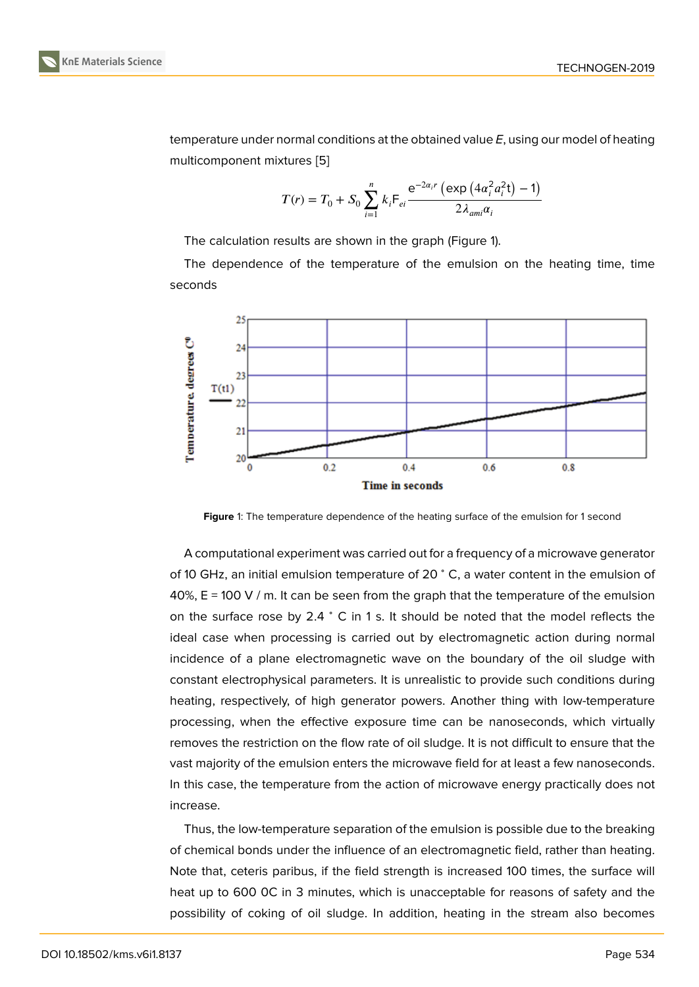temperature under normal conditions at the obtained value *E*, using our model of heating multicomponent mixtures [5]

$$
T(r) = T_0 + S_0 \sum_{i=1}^{n} k_i \mathsf{F}_{ei} \frac{\mathrm{e}^{-2\alpha_i r} \left(\exp\left(4\alpha_i^2 a_i^2 t\right) - 1\right)}{2\lambda_{\alpha m i} \alpha_i}
$$

The calculation results are shown in the graph (Figure 1).

The dependence of the temperature of the emulsion on the heating time, time seconds



**Figure** 1: The temperature dependence of the heating surface of the emulsion for 1 second

A computational experiment was carried out for a frequency of a microwave generator of 10 GHz, an initial emulsion temperature of 20 <sup>∘</sup> C, a water content in the emulsion of 40%,  $E = 100$  V / m. It can be seen from the graph that the temperature of the emulsion on the surface rose by 2.4 <sup>∘</sup> C in 1 s. It should be noted that the model reflects the ideal case when processing is carried out by electromagnetic action during normal incidence of a plane electromagnetic wave on the boundary of the oil sludge with constant electrophysical parameters. It is unrealistic to provide such conditions during heating, respectively, of high generator powers. Another thing with low-temperature processing, when the effective exposure time can be nanoseconds, which virtually removes the restriction on the flow rate of oil sludge. It is not difficult to ensure that the vast majority of the emulsion enters the microwave field for at least a few nanoseconds. In this case, the temperature from the action of microwave energy practically does not increase.

Thus, the low-temperature separation of the emulsion is possible due to the breaking of chemical bonds under the influence of an electromagnetic field, rather than heating. Note that, ceteris paribus, if the field strength is increased 100 times, the surface will heat up to 600 0C in 3 minutes, which is unacceptable for reasons of safety and the possibility of coking of oil sludge. In addition, heating in the stream also becomes